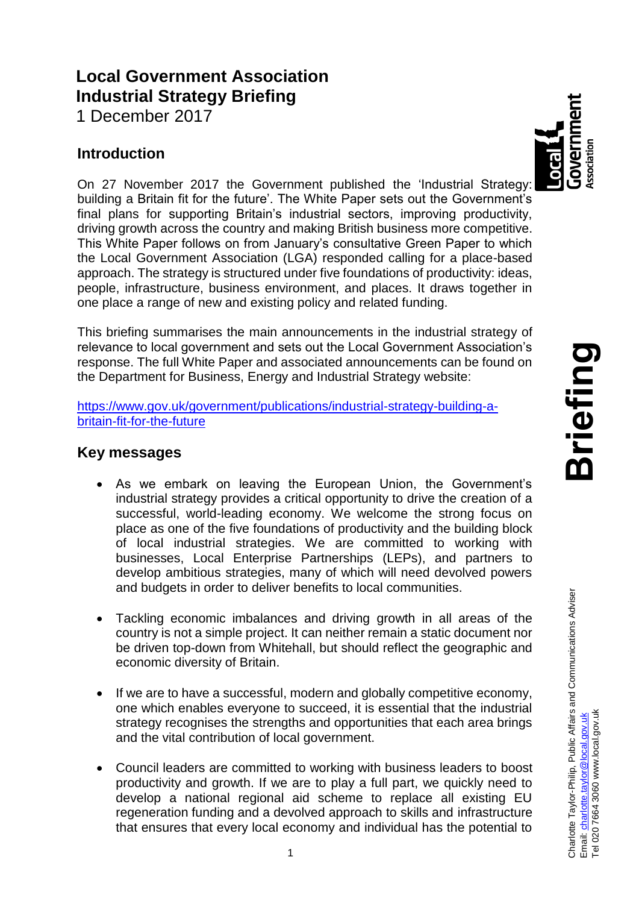# **Local Government Association Industrial Strategy Briefing**

1 December 2017

## **Introduction**

On 27 November 2017 the Government published the 'Industrial Strategy: building a Britain fit for the future'. The White Paper sets out the Government's final plans for supporting Britain's industrial sectors, improving productivity, driving growth across the country and making British business more competitive. This White Paper follows on from January's consultative Green Paper to which the Local Government Association (LGA) responded calling for a place-based approach. The strategy is structured under five foundations of productivity: ideas, people, infrastructure, business environment, and places. It draws together in one place a range of new and existing policy and related funding.

This briefing summarises the main announcements in the industrial strategy of relevance to local government and sets out the Local Government Association's response. The full White Paper and associated announcements can be found on the Department for Business, Energy and Industrial Strategy website:

[https://www.gov.uk/government/publications/industrial-strategy-building-a](https://www.gov.uk/government/publications/industrial-strategy-building-a-britain-fit-for-the-future)[britain-fit-for-the-future](https://www.gov.uk/government/publications/industrial-strategy-building-a-britain-fit-for-the-future)

## **Key messages**

- As we embark on leaving the European Union, the Government's industrial strategy provides a critical opportunity to drive the creation of a successful, world-leading economy. We welcome the strong focus on place as one of the five foundations of productivity and the building block of local industrial strategies. We are committed to working with businesses, Local Enterprise Partnerships (LEPs), and partners to develop ambitious strategies, many of which will need devolved powers and budgets in order to deliver benefits to local communities.
- Tackling economic imbalances and driving growth in all areas of the country is not a simple project. It can neither remain a static document nor be driven top-down from Whitehall, but should reflect the geographic and economic diversity of Britain.
- If we are to have a successful, modern and globally competitive economy, one which enables everyone to succeed, it is essential that the industrial strategy recognises the strengths and opportunities that each area brings and the vital contribution of local government.
- Council leaders are committed to working with business leaders to boost productivity and growth. If we are to play a full part, we quickly need to develop a national regional aid scheme to replace all existing EU regeneration funding and a devolved approach to skills and infrastructure that ensures that every local economy and individual has the potential to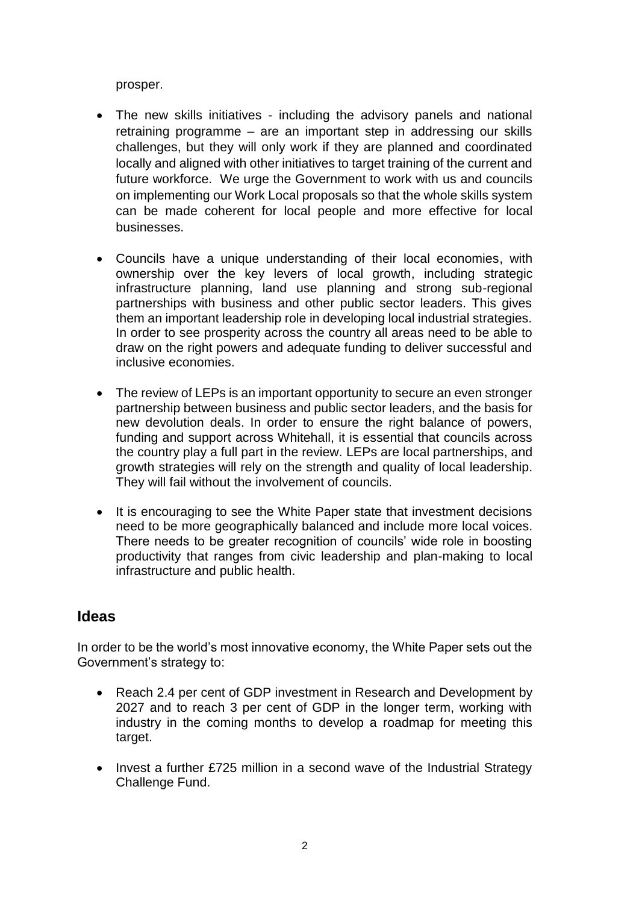prosper.

- The new skills initiatives including the advisory panels and national retraining programme – are an important step in addressing our skills challenges, but they will only work if they are planned and coordinated locally and aligned with other initiatives to target training of the current and future workforce. We urge the Government to work with us and councils on implementing our Work Local proposals so that the whole skills system can be made coherent for local people and more effective for local businesses.
- Councils have a unique understanding of their local economies, with ownership over the key levers of local growth, including strategic infrastructure planning, land use planning and strong sub-regional partnerships with business and other public sector leaders. This gives them an important leadership role in developing local industrial strategies. In order to see prosperity across the country all areas need to be able to draw on the right powers and adequate funding to deliver successful and inclusive economies.
- The review of LEPs is an important opportunity to secure an even stronger partnership between business and public sector leaders, and the basis for new devolution deals. In order to ensure the right balance of powers, funding and support across Whitehall, it is essential that councils across the country play a full part in the review. LEPs are local partnerships, and growth strategies will rely on the strength and quality of local leadership. They will fail without the involvement of councils.
- It is encouraging to see the White Paper state that investment decisions need to be more geographically balanced and include more local voices. There needs to be greater recognition of councils' wide role in boosting productivity that ranges from civic leadership and plan-making to local infrastructure and public health.

### **Ideas**

In order to be the world's most innovative economy, the White Paper sets out the Government's strategy to:

- Reach 2.4 per cent of GDP investment in Research and Development by 2027 and to reach 3 per cent of GDP in the longer term, working with industry in the coming months to develop a roadmap for meeting this target.
- Invest a further £725 million in a second wave of the Industrial Strategy Challenge Fund.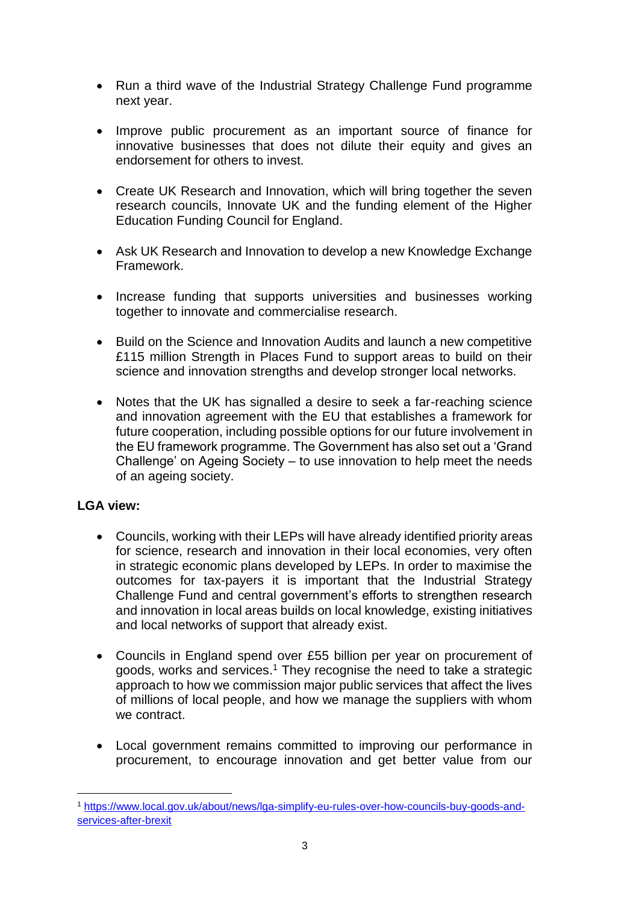- Run a third wave of the Industrial Strategy Challenge Fund programme next year.
- Improve public procurement as an important source of finance for innovative businesses that does not dilute their equity and gives an endorsement for others to invest.
- Create UK Research and Innovation, which will bring together the seven research councils, Innovate UK and the funding element of the Higher Education Funding Council for England.
- Ask UK Research and Innovation to develop a new Knowledge Exchange Framework.
- Increase funding that supports universities and businesses working together to innovate and commercialise research.
- Build on the Science and Innovation Audits and launch a new competitive £115 million Strength in Places Fund to support areas to build on their science and innovation strengths and develop stronger local networks.
- Notes that the UK has signalled a desire to seek a far-reaching science and innovation agreement with the EU that establishes a framework for future cooperation, including possible options for our future involvement in the EU framework programme. The Government has also set out a 'Grand Challenge' on Ageing Society – to use innovation to help meet the needs of an ageing society.

#### **LGA view:**

- Councils, working with their LEPs will have already identified priority areas for science, research and innovation in their local economies, very often in strategic economic plans developed by LEPs. In order to maximise the outcomes for tax-payers it is important that the Industrial Strategy Challenge Fund and central government's efforts to strengthen research and innovation in local areas builds on local knowledge, existing initiatives and local networks of support that already exist.
- Councils in England spend over £55 billion per year on procurement of goods, works and services. <sup>1</sup> They recognise the need to take a strategic approach to how we commission major public services that affect the lives of millions of local people, and how we manage the suppliers with whom we contract.
- Local government remains committed to improving our performance in procurement, to encourage innovation and get better value from our

<sup>1</sup> [https://www.local.gov.uk/about/news/lga-simplify-eu-rules-over-how-councils-buy-goods-and](https://www.local.gov.uk/about/news/lga-simplify-eu-rules-over-how-councils-buy-goods-and-services-after-brexit)[services-after-brexit](https://www.local.gov.uk/about/news/lga-simplify-eu-rules-over-how-councils-buy-goods-and-services-after-brexit)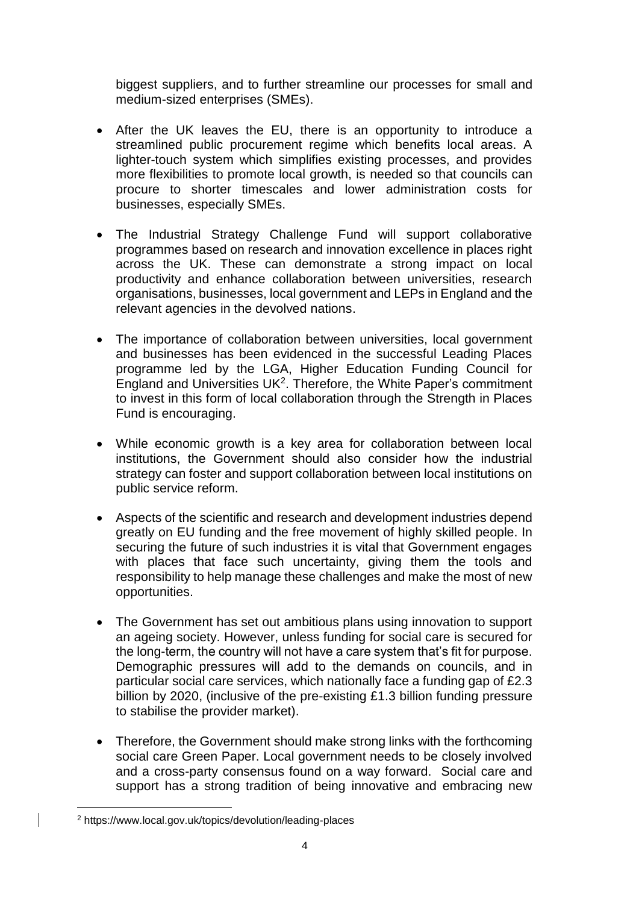biggest suppliers, and to further streamline our processes for small and medium-sized enterprises (SMEs).

- After the UK leaves the EU, there is an opportunity to introduce a streamlined public procurement regime which benefits local areas. A lighter-touch system which simplifies existing processes, and provides more flexibilities to promote local growth, is needed so that councils can procure to shorter timescales and lower administration costs for businesses, especially SMEs.
- The Industrial Strategy Challenge Fund will support collaborative programmes based on research and innovation excellence in places right across the UK. These can demonstrate a strong impact on local productivity and enhance collaboration between universities, research organisations, businesses, local government and LEPs in England and the relevant agencies in the devolved nations.
- The importance of collaboration between universities, local government and businesses has been evidenced in the successful Leading Places programme led by the LGA, Higher Education Funding Council for England and Universities UK<sup>2</sup>. Therefore, the White Paper's commitment to invest in this form of local collaboration through the Strength in Places Fund is encouraging.
- While economic growth is a key area for collaboration between local institutions, the Government should also consider how the industrial strategy can foster and support collaboration between local institutions on public service reform.
- Aspects of the scientific and research and development industries depend greatly on EU funding and the free movement of highly skilled people. In securing the future of such industries it is vital that Government engages with places that face such uncertainty, giving them the tools and responsibility to help manage these challenges and make the most of new opportunities.
- The Government has set out ambitious plans using innovation to support an ageing society. However, unless funding for social care is secured for the long-term, the country will not have a care system that's fit for purpose. Demographic pressures will add to the demands on councils, and in particular social care services, which nationally face a funding gap of £2.3 billion by 2020, (inclusive of the pre-existing £1.3 billion funding pressure to stabilise the provider market).
- Therefore, the Government should make strong links with the forthcoming social care Green Paper. Local government needs to be closely involved and a cross-party consensus found on a way forward. Social care and support has a strong tradition of being innovative and embracing new

<sup>2</sup> https://www.local.gov.uk/topics/devolution/leading-places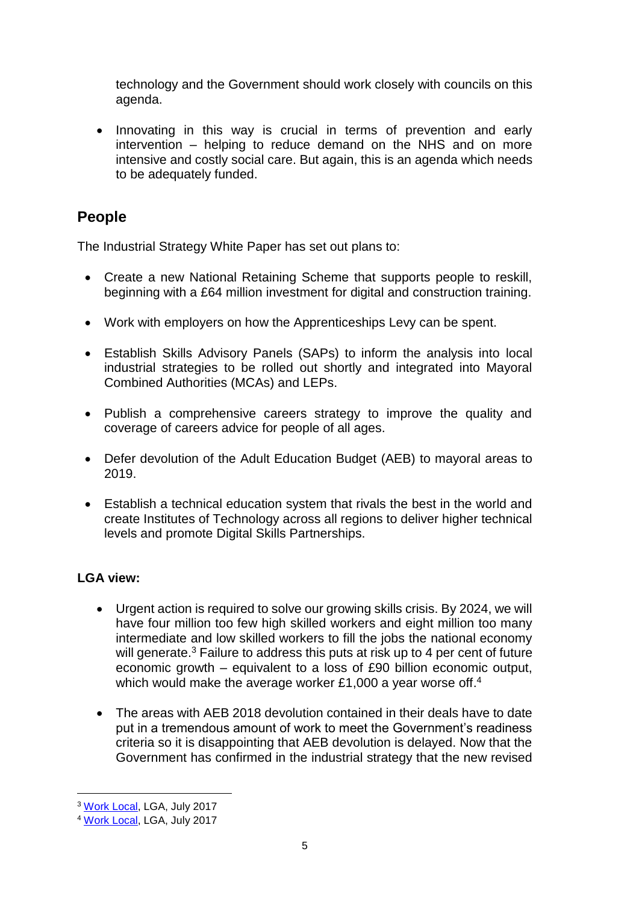technology and the Government should work closely with councils on this agenda.

• Innovating in this way is crucial in terms of prevention and early intervention – helping to reduce demand on the NHS and on more intensive and costly social care. But again, this is an agenda which needs to be adequately funded.

## **People**

The Industrial Strategy White Paper has set out plans to:

- Create a new National Retaining Scheme that supports people to reskill, beginning with a £64 million investment for digital and construction training.
- Work with employers on how the Apprenticeships Levy can be spent.
- Establish Skills Advisory Panels (SAPs) to inform the analysis into local industrial strategies to be rolled out shortly and integrated into Mayoral Combined Authorities (MCAs) and LEPs.
- Publish a comprehensive careers strategy to improve the quality and coverage of careers advice for people of all ages.
- Defer devolution of the Adult Education Budget (AEB) to mayoral areas to 2019.
- Establish a technical education system that rivals the best in the world and create Institutes of Technology across all regions to deliver higher technical levels and promote Digital Skills Partnerships.

### **LGA view:**

- Urgent action is required to solve our growing skills crisis. By 2024, we will have four million too few high skilled workers and eight million too many intermediate and low skilled workers to fill the jobs the national economy will generate.<sup>3</sup> Failure to address this puts at risk up to 4 per cent of future economic growth – equivalent to a loss of £90 billion economic output, which would make the average worker £1,000 a year worse off.<sup>4</sup>
- The areas with AEB 2018 devolution contained in their deals have to date put in a tremendous amount of work to meet the Government's readiness criteria so it is disappointing that AEB devolution is delayed. Now that the Government has confirmed in the industrial strategy that the new revised

<sup>3</sup> [Work Local,](https://www.local.gov.uk/topics/employment-and-skills/work-local/radical-overhaul-careers-advice) LGA, July 2017

<sup>4</sup> [Work Local,](https://www.local.gov.uk/topics/employment-and-skills/work-local/radical-overhaul-careers-advice) LGA, July 2017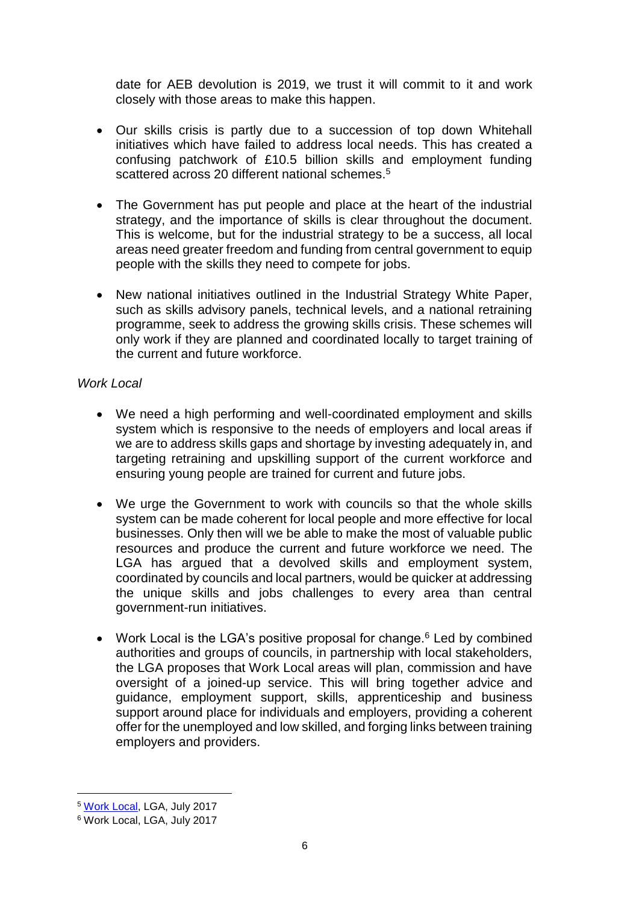date for AEB devolution is 2019, we trust it will commit to it and work closely with those areas to make this happen.

- Our skills crisis is partly due to a succession of top down Whitehall initiatives which have failed to address local needs. This has created a confusing patchwork of £10.5 billion skills and employment funding scattered across 20 different national schemes.<sup>5</sup>
- The Government has put people and place at the heart of the industrial strategy, and the importance of skills is clear throughout the document. This is welcome, but for the industrial strategy to be a success, all local areas need greater freedom and funding from central government to equip people with the skills they need to compete for jobs.
- New national initiatives outlined in the Industrial Strategy White Paper, such as skills advisory panels, technical levels, and a national retraining programme, seek to address the growing skills crisis. These schemes will only work if they are planned and coordinated locally to target training of the current and future workforce.

#### *Work Local*

- We need a high performing and well-coordinated employment and skills system which is responsive to the needs of employers and local areas if we are to address skills gaps and shortage by investing adequately in, and targeting retraining and upskilling support of the current workforce and ensuring young people are trained for current and future jobs.
- We urge the Government to work with councils so that the whole skills system can be made coherent for local people and more effective for local businesses. Only then will we be able to make the most of valuable public resources and produce the current and future workforce we need. The LGA has argued that a devolved skills and employment system, coordinated by councils and local partners, would be quicker at addressing the unique skills and jobs challenges to every area than central government-run initiatives.
- Work Local is the LGA's positive proposal for change.<sup>6</sup> Led by combined authorities and groups of councils, in partnership with local stakeholders, the LGA proposes that Work Local areas will plan, commission and have oversight of a joined-up service. This will bring together advice and guidance, employment support, skills, apprenticeship and business support around place for individuals and employers, providing a coherent offer for the unemployed and low skilled, and forging links between training employers and providers.

<sup>5</sup> [Work Local,](https://www.local.gov.uk/topics/employment-and-skills/work-local/radical-overhaul-careers-advice) LGA, July 2017

<sup>6</sup> Work Local, LGA, July 2017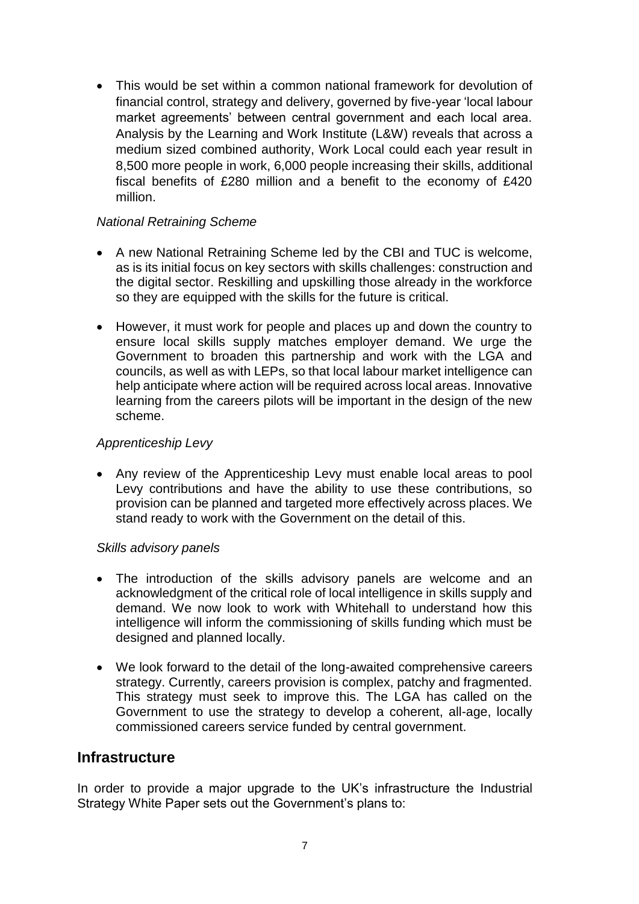This would be set within a common national framework for devolution of financial control, strategy and delivery, governed by five-year 'local labour market agreements' between central government and each local area. Analysis by the Learning and Work Institute (L&W) reveals that across a medium sized combined authority, Work Local could each year result in 8,500 more people in work, 6,000 people increasing their skills, additional fiscal benefits of £280 million and a benefit to the economy of £420 million.

#### *National Retraining Scheme*

- A new National Retraining Scheme led by the CBI and TUC is welcome, as is its initial focus on key sectors with skills challenges: construction and the digital sector. Reskilling and upskilling those already in the workforce so they are equipped with the skills for the future is critical.
- However, it must work for people and places up and down the country to ensure local skills supply matches employer demand. We urge the Government to broaden this partnership and work with the LGA and councils, as well as with LEPs, so that local labour market intelligence can help anticipate where action will be required across local areas. Innovative learning from the careers pilots will be important in the design of the new scheme.

#### *Apprenticeship Levy*

 Any review of the Apprenticeship Levy must enable local areas to pool Levy contributions and have the ability to use these contributions, so provision can be planned and targeted more effectively across places. We stand ready to work with the Government on the detail of this.

#### *Skills advisory panels*

- The introduction of the skills advisory panels are welcome and an acknowledgment of the critical role of local intelligence in skills supply and demand. We now look to work with Whitehall to understand how this intelligence will inform the commissioning of skills funding which must be designed and planned locally.
- We look forward to the detail of the long-awaited comprehensive careers strategy. Currently, careers provision is complex, patchy and fragmented. This strategy must seek to improve this. The LGA has called on the Government to use the strategy to develop a coherent, all-age, locally commissioned careers service funded by central government.

#### **Infrastructure**

In order to provide a major upgrade to the UK's infrastructure the Industrial Strategy White Paper sets out the Government's plans to: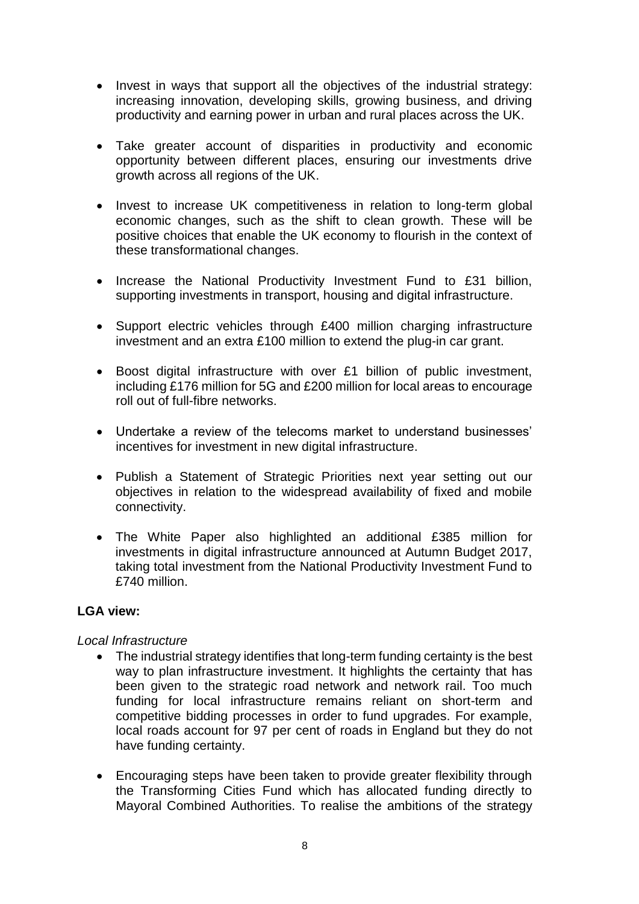- Invest in ways that support all the objectives of the industrial strategy: increasing innovation, developing skills, growing business, and driving productivity and earning power in urban and rural places across the UK.
- Take greater account of disparities in productivity and economic opportunity between different places, ensuring our investments drive growth across all regions of the UK.
- Invest to increase UK competitiveness in relation to long-term global economic changes, such as the shift to clean growth. These will be positive choices that enable the UK economy to flourish in the context of these transformational changes.
- Increase the National Productivity Investment Fund to £31 billion, supporting investments in transport, housing and digital infrastructure.
- Support electric vehicles through £400 million charging infrastructure investment and an extra £100 million to extend the plug-in car grant.
- Boost digital infrastructure with over £1 billion of public investment, including £176 million for 5G and £200 million for local areas to encourage roll out of full-fibre networks.
- Undertake a review of the telecoms market to understand businesses' incentives for investment in new digital infrastructure.
- Publish a Statement of Strategic Priorities next year setting out our objectives in relation to the widespread availability of fixed and mobile connectivity.
- The White Paper also highlighted an additional £385 million for investments in digital infrastructure announced at Autumn Budget 2017, taking total investment from the National Productivity Investment Fund to £740 million.

#### **LGA view:**

#### *Local Infrastructure*

- The industrial strategy identifies that long-term funding certainty is the best way to plan infrastructure investment. It highlights the certainty that has been given to the strategic road network and network rail. Too much funding for local infrastructure remains reliant on short-term and competitive bidding processes in order to fund upgrades. For example, local roads account for 97 per cent of roads in England but they do not have funding certainty.
- Encouraging steps have been taken to provide greater flexibility through the Transforming Cities Fund which has allocated funding directly to Mayoral Combined Authorities. To realise the ambitions of the strategy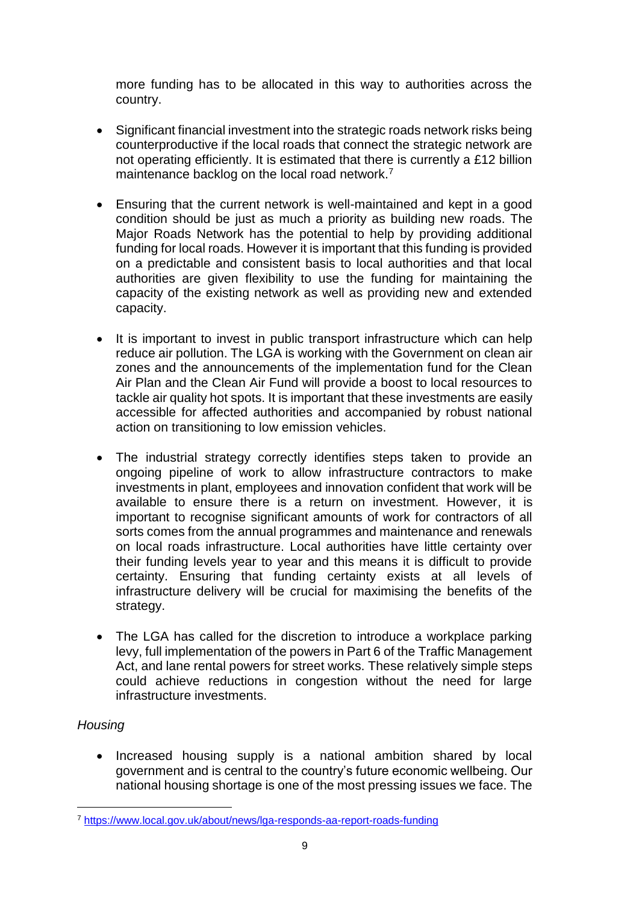more funding has to be allocated in this way to authorities across the country.

- Significant financial investment into the strategic roads network risks being counterproductive if the local roads that connect the strategic network are not operating efficiently. It is estimated that there is currently a £12 billion maintenance backlog on the local road network.<sup>7</sup>
- Ensuring that the current network is well-maintained and kept in a good condition should be just as much a priority as building new roads. The Major Roads Network has the potential to help by providing additional funding for local roads. However it is important that this funding is provided on a predictable and consistent basis to local authorities and that local authorities are given flexibility to use the funding for maintaining the capacity of the existing network as well as providing new and extended capacity.
- It is important to invest in public transport infrastructure which can help reduce air pollution. The LGA is working with the Government on clean air zones and the announcements of the implementation fund for the Clean Air Plan and the Clean Air Fund will provide a boost to local resources to tackle air quality hot spots. It is important that these investments are easily accessible for affected authorities and accompanied by robust national action on transitioning to low emission vehicles.
- The industrial strategy correctly identifies steps taken to provide an ongoing pipeline of work to allow infrastructure contractors to make investments in plant, employees and innovation confident that work will be available to ensure there is a return on investment. However, it is important to recognise significant amounts of work for contractors of all sorts comes from the annual programmes and maintenance and renewals on local roads infrastructure. Local authorities have little certainty over their funding levels year to year and this means it is difficult to provide certainty. Ensuring that funding certainty exists at all levels of infrastructure delivery will be crucial for maximising the benefits of the strategy.
- The LGA has called for the discretion to introduce a workplace parking levy, full implementation of the powers in Part 6 of the Traffic Management Act, and lane rental powers for street works. These relatively simple steps could achieve reductions in congestion without the need for large infrastructure investments.

#### *Housing*

-

 Increased housing supply is a national ambition shared by local government and is central to the country's future economic wellbeing. Our national housing shortage is one of the most pressing issues we face. The

<sup>7</sup> <https://www.local.gov.uk/about/news/lga-responds-aa-report-roads-funding>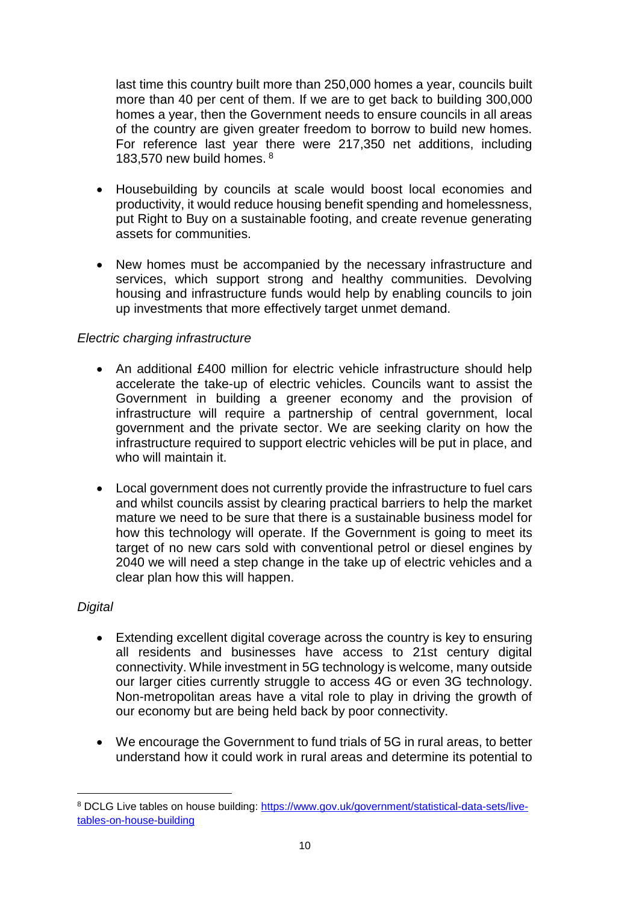last time this country built more than 250,000 homes a year, councils built more than 40 per cent of them. If we are to get back to building 300,000 homes a year, then the Government needs to ensure councils in all areas of the country are given greater freedom to borrow to build new homes. For reference last year there were 217,350 net additions, including 183,570 new build homes. <sup>8</sup>

- Housebuilding by councils at scale would boost local economies and productivity, it would reduce housing benefit spending and homelessness, put Right to Buy on a sustainable footing, and create revenue generating assets for communities.
- New homes must be accompanied by the necessary infrastructure and services, which support strong and healthy communities. Devolving housing and infrastructure funds would help by enabling councils to join up investments that more effectively target unmet demand.

#### *Electric charging infrastructure*

- An additional £400 million for electric vehicle infrastructure should help accelerate the take-up of electric vehicles. Councils want to assist the Government in building a greener economy and the provision of infrastructure will require a partnership of central government, local government and the private sector. We are seeking clarity on how the infrastructure required to support electric vehicles will be put in place, and who will maintain it.
- Local government does not currently provide the infrastructure to fuel cars and whilst councils assist by clearing practical barriers to help the market mature we need to be sure that there is a sustainable business model for how this technology will operate. If the Government is going to meet its target of no new cars sold with conventional petrol or diesel engines by 2040 we will need a step change in the take up of electric vehicles and a clear plan how this will happen.

#### *Digital*

- Extending excellent digital coverage across the country is key to ensuring all residents and businesses have access to 21st century digital connectivity. While investment in 5G technology is welcome, many outside our larger cities currently struggle to access 4G or even 3G technology. Non-metropolitan areas have a vital role to play in driving the growth of our economy but are being held back by poor connectivity.
- We encourage the Government to fund trials of 5G in rural areas, to better understand how it could work in rural areas and determine its potential to

<sup>8</sup> DCLG Live tables on house building: [https://www.gov.uk/government/statistical-data-sets/live](https://www.gov.uk/government/statistical-data-sets/live-tables-on-house-building)[tables-on-house-building](https://www.gov.uk/government/statistical-data-sets/live-tables-on-house-building)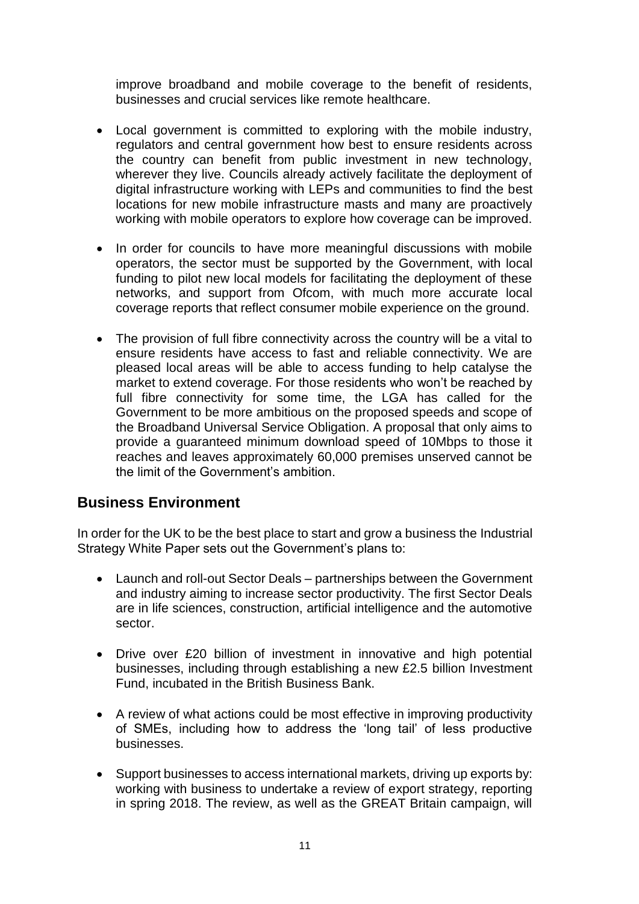improve broadband and mobile coverage to the benefit of residents, businesses and crucial services like remote healthcare.

- Local government is committed to exploring with the mobile industry, regulators and central government how best to ensure residents across the country can benefit from public investment in new technology, wherever they live. Councils already actively facilitate the deployment of digital infrastructure working with LEPs and communities to find the best locations for new mobile infrastructure masts and many are proactively working with mobile operators to explore how coverage can be improved.
- In order for councils to have more meaningful discussions with mobile operators, the sector must be supported by the Government, with local funding to pilot new local models for facilitating the deployment of these networks, and support from Ofcom, with much more accurate local coverage reports that reflect consumer mobile experience on the ground.
- The provision of full fibre connectivity across the country will be a vital to ensure residents have access to fast and reliable connectivity. We are pleased local areas will be able to access funding to help catalyse the market to extend coverage. For those residents who won't be reached by full fibre connectivity for some time, the LGA has called for the Government to be more ambitious on the proposed speeds and scope of the Broadband Universal Service Obligation. A proposal that only aims to provide a guaranteed minimum download speed of 10Mbps to those it reaches and leaves approximately 60,000 premises unserved cannot be the limit of the Government's ambition.

## **Business Environment**

In order for the UK to be the best place to start and grow a business the Industrial Strategy White Paper sets out the Government's plans to:

- Launch and roll-out Sector Deals partnerships between the Government and industry aiming to increase sector productivity. The first Sector Deals are in life sciences, construction, artificial intelligence and the automotive sector.
- Drive over £20 billion of investment in innovative and high potential businesses, including through establishing a new £2.5 billion Investment Fund, incubated in the British Business Bank.
- A review of what actions could be most effective in improving productivity of SMEs, including how to address the 'long tail' of less productive businesses.
- Support businesses to access international markets, driving up exports by: working with business to undertake a review of export strategy, reporting in spring 2018. The review, as well as the GREAT Britain campaign, will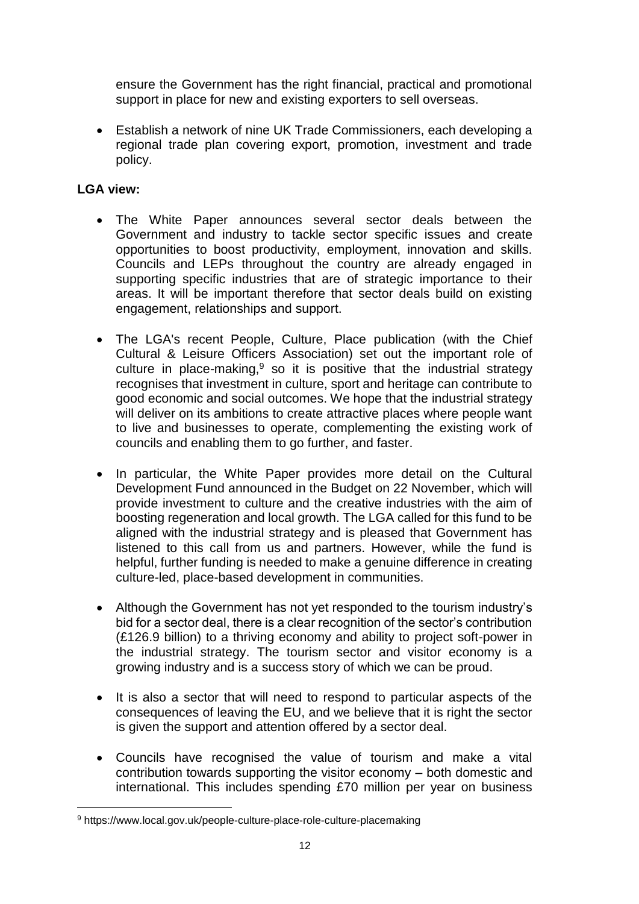ensure the Government has the right financial, practical and promotional support in place for new and existing exporters to sell overseas.

 Establish a network of nine UK Trade Commissioners, each developing a regional trade plan covering export, promotion, investment and trade policy.

### **LGA view:**

- The White Paper announces several sector deals between the Government and industry to tackle sector specific issues and create opportunities to boost productivity, employment, innovation and skills. Councils and LEPs throughout the country are already engaged in supporting specific industries that are of strategic importance to their areas. It will be important therefore that sector deals build on existing engagement, relationships and support.
- The LGA's recent [People, Culture, Place](https://www.local.gov.uk/people-culture-place-role-culture-placemaking) publication (with the Chief Cultural & Leisure Officers Association) set out the important role of culture in place-making, $9$  so it is positive that the industrial strategy recognises that investment in culture, sport and heritage can contribute to good economic and social outcomes. We hope that the industrial strategy will deliver on its ambitions to create attractive places where people want to live and businesses to operate, complementing the existing work of councils and enabling them to go further, and faster.
- In particular, the White Paper provides more detail on the Cultural Development Fund announced in the Budget on 22 November, which will provide investment to culture and the creative industries with the aim of boosting regeneration and local growth. The LGA called for this fund to be aligned with the industrial strategy and is pleased that Government has listened to this call from us and partners. However, while the fund is helpful, further funding is needed to make a genuine difference in creating culture-led, place-based development in communities.
- Although the Government has not yet responded to the tourism industry's bid for a sector deal, there is a clear recognition of the sector's contribution (£126.9 billion) to a thriving economy and ability to project soft-power in the industrial strategy. The tourism sector and visitor economy is a growing industry and is a success story of which we can be proud.
- It is also a sector that will need to respond to particular aspects of the consequences of leaving the EU, and we believe that it is right the sector is given the support and attention offered by a sector deal.
- Councils have recognised the value of tourism and make a vital contribution towards supporting the visitor economy – both domestic and international. This includes spending £70 million per year on business

<sup>9</sup> https://www.local.gov.uk/people-culture-place-role-culture-placemaking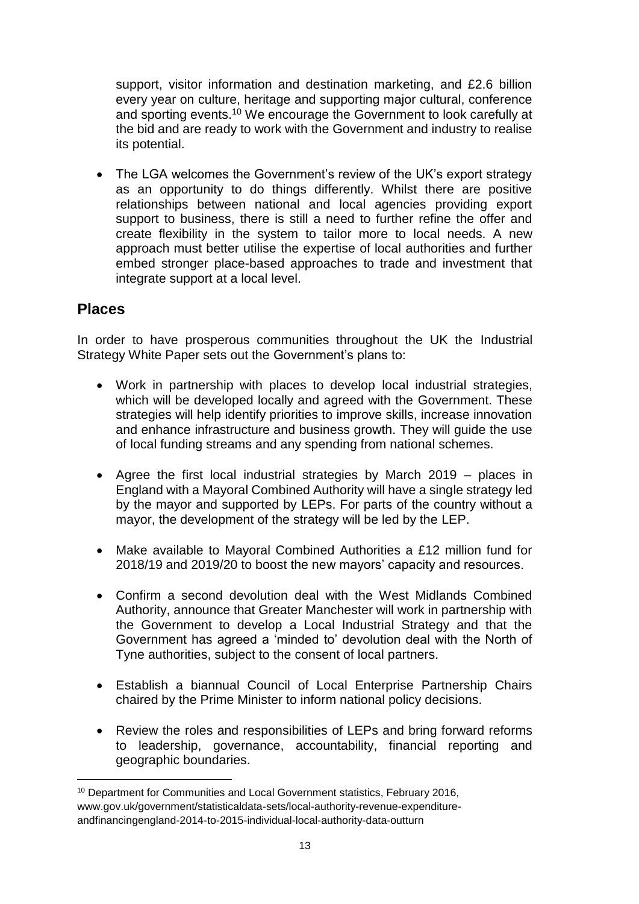support, visitor information and destination marketing, and £2.6 billion every year on culture, heritage and supporting major cultural, conference and sporting events.<sup>10</sup> We encourage the Government to look carefully at the bid and are ready to work with the Government and industry to realise its potential.

• The LGA welcomes the Government's review of the UK's export strategy as an opportunity to do things differently. Whilst there are positive relationships between national and local agencies providing export support to business, there is still a need to further refine the offer and create flexibility in the system to tailor more to local needs. A new approach must better utilise the expertise of local authorities and further embed stronger place-based approaches to trade and investment that integrate support at a local level.

### **Places**

-

In order to have prosperous communities throughout the UK the Industrial Strategy White Paper sets out the Government's plans to:

- Work in partnership with places to develop local industrial strategies, which will be developed locally and agreed with the Government. These strategies will help identify priorities to improve skills, increase innovation and enhance infrastructure and business growth. They will guide the use of local funding streams and any spending from national schemes.
- Agree the first local industrial strategies by March 2019 places in England with a Mayoral Combined Authority will have a single strategy led by the mayor and supported by LEPs. For parts of the country without a mayor, the development of the strategy will be led by the LEP.
- Make available to Mayoral Combined Authorities a £12 million fund for 2018/19 and 2019/20 to boost the new mayors' capacity and resources.
- Confirm a second devolution deal with the West Midlands Combined Authority, announce that Greater Manchester will work in partnership with the Government to develop a Local Industrial Strategy and that the Government has agreed a 'minded to' devolution deal with the North of Tyne authorities, subject to the consent of local partners.
- Establish a biannual Council of Local Enterprise Partnership Chairs chaired by the Prime Minister to inform national policy decisions.
- Review the roles and responsibilities of LEPs and bring forward reforms to leadership, governance, accountability, financial reporting and geographic boundaries.

<sup>10</sup> Department for Communities and Local Government statistics, February 2016, www.gov.uk/government/statisticaldata-sets/local-authority-revenue-expenditureandfinancingengland-2014-to-2015-individual-local-authority-data-outturn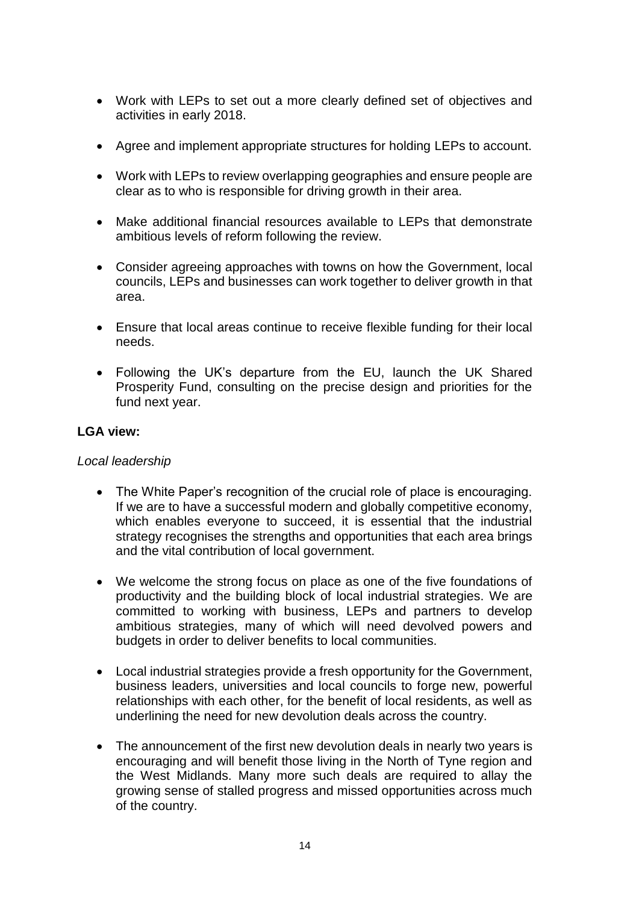- Work with LEPs to set out a more clearly defined set of objectives and activities in early 2018.
- Agree and implement appropriate structures for holding LEPs to account.
- Work with LEPs to review overlapping geographies and ensure people are clear as to who is responsible for driving growth in their area.
- Make additional financial resources available to LEPs that demonstrate ambitious levels of reform following the review.
- Consider agreeing approaches with towns on how the Government, local councils, LEPs and businesses can work together to deliver growth in that area.
- Ensure that local areas continue to receive flexible funding for their local needs.
- Following the UK's departure from the EU, launch the UK Shared Prosperity Fund, consulting on the precise design and priorities for the fund next year.

#### **LGA view:**

#### *Local leadership*

- The White Paper's recognition of the crucial role of place is encouraging. If we are to have a successful modern and globally competitive economy, which enables everyone to succeed, it is essential that the industrial strategy recognises the strengths and opportunities that each area brings and the vital contribution of local government.
- We welcome the strong focus on place as one of the five foundations of productivity and the building block of local industrial strategies. We are committed to working with business, LEPs and partners to develop ambitious strategies, many of which will need devolved powers and budgets in order to deliver benefits to local communities.
- Local industrial strategies provide a fresh opportunity for the Government, business leaders, universities and local councils to forge new, powerful relationships with each other, for the benefit of local residents, as well as underlining the need for new devolution deals across the country.
- The announcement of the first new devolution deals in nearly two vears is encouraging and will benefit those living in the North of Tyne region and the West Midlands. Many more such deals are required to allay the growing sense of stalled progress and missed opportunities across much of the country.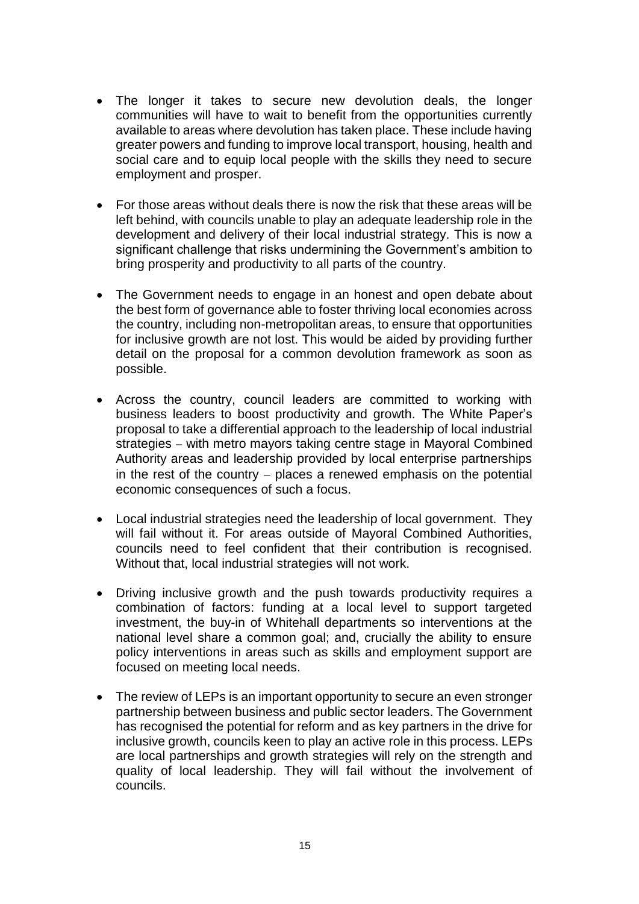- The longer it takes to secure new devolution deals, the longer communities will have to wait to benefit from the opportunities currently available to areas where devolution has taken place. These include having greater powers and funding to improve local transport, housing, health and social care and to equip local people with the skills they need to secure employment and prosper.
- For those areas without deals there is now the risk that these areas will be left behind, with councils unable to play an adequate leadership role in the development and delivery of their local industrial strategy. This is now a significant challenge that risks undermining the Government's ambition to bring prosperity and productivity to all parts of the country.
- The Government needs to engage in an honest and open debate about the best form of governance able to foster thriving local economies across the country, including non-metropolitan areas, to ensure that opportunities for inclusive growth are not lost. This would be aided by providing further detail on the proposal for a common devolution framework as soon as possible.
- Across the country, council leaders are committed to working with business leaders to boost productivity and growth. The White Paper's proposal to take a differential approach to the leadership of local industrial strategies with metro mayors taking centre stage in Mayoral Combined Authority areas and leadership provided by local enterprise partnerships in the rest of the country  $-$  places a renewed emphasis on the potential economic consequences of such a focus.
- Local industrial strategies need the leadership of local government. They will fail without it. For areas outside of Mayoral Combined Authorities, councils need to feel confident that their contribution is recognised. Without that, local industrial strategies will not work.
- Driving inclusive growth and the push towards productivity requires a combination of factors: funding at a local level to support targeted investment, the buy-in of Whitehall departments so interventions at the national level share a common goal; and, crucially the ability to ensure policy interventions in areas such as skills and employment support are focused on meeting local needs.
- The review of LEPs is an important opportunity to secure an even stronger partnership between business and public sector leaders. The Government has recognised the potential for reform and as key partners in the drive for inclusive growth, councils keen to play an active role in this process. LEPs are local partnerships and growth strategies will rely on the strength and quality of local leadership. They will fail without the involvement of councils.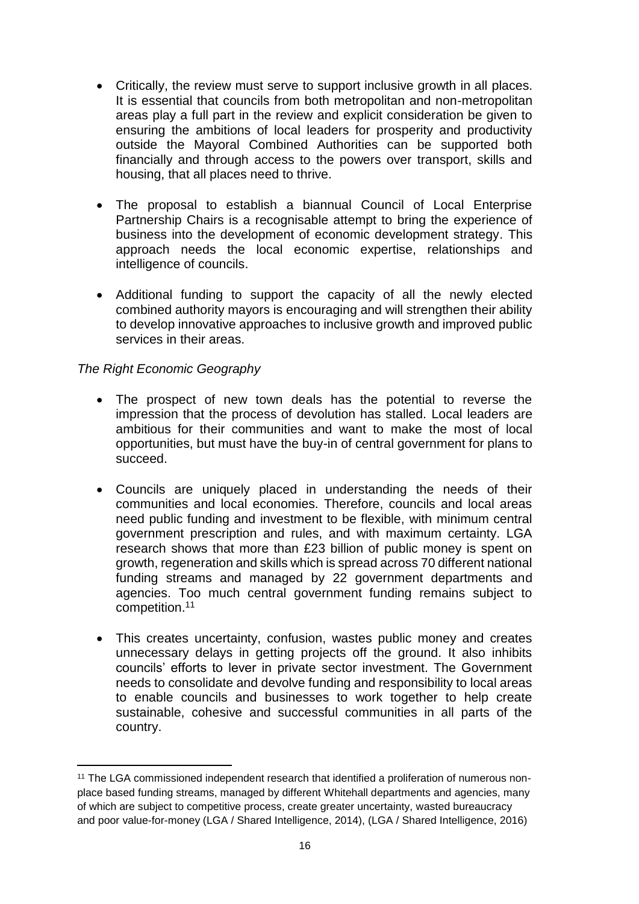- Critically, the review must serve to support inclusive growth in all places. It is essential that councils from both metropolitan and non-metropolitan areas play a full part in the review and explicit consideration be given to ensuring the ambitions of local leaders for prosperity and productivity outside the Mayoral Combined Authorities can be supported both financially and through access to the powers over transport, skills and housing, that all places need to thrive.
- The proposal to establish a biannual Council of Local Enterprise Partnership Chairs is a recognisable attempt to bring the experience of business into the development of economic development strategy. This approach needs the local economic expertise, relationships and intelligence of councils.
- Additional funding to support the capacity of all the newly elected combined authority mayors is encouraging and will strengthen their ability to develop innovative approaches to inclusive growth and improved public services in their areas.

#### *The Right Economic Geography*

- The prospect of new town deals has the potential to reverse the impression that the process of devolution has stalled. Local leaders are ambitious for their communities and want to make the most of local opportunities, but must have the buy-in of central government for plans to succeed.
- Councils are uniquely placed in understanding the needs of their communities and local economies. Therefore, councils and local areas need public funding and investment to be flexible, with minimum central government prescription and rules, and with maximum certainty. LGA research shows that more than £23 billion of public money is spent on growth, regeneration and skills which is spread across 70 different national funding streams and managed by 22 government departments and agencies. Too much central government funding remains subject to competition.<sup>11</sup>
- This creates uncertainty, confusion, wastes public money and creates unnecessary delays in getting projects off the ground. It also inhibits councils' efforts to lever in private sector investment. The Government needs to consolidate and devolve funding and responsibility to local areas to enable councils and businesses to work together to help create sustainable, cohesive and successful communities in all parts of the country.

<sup>&</sup>lt;sup>11</sup> The LGA commissioned independent research that identified a proliferation of numerous nonplace based funding streams, managed by different Whitehall departments and agencies, many of which are subject to competitive process, create greater uncertainty, wasted bureaucracy and poor value-for-money (LGA / Shared Intelligence, 2014), (LGA / Shared Intelligence, 2016)